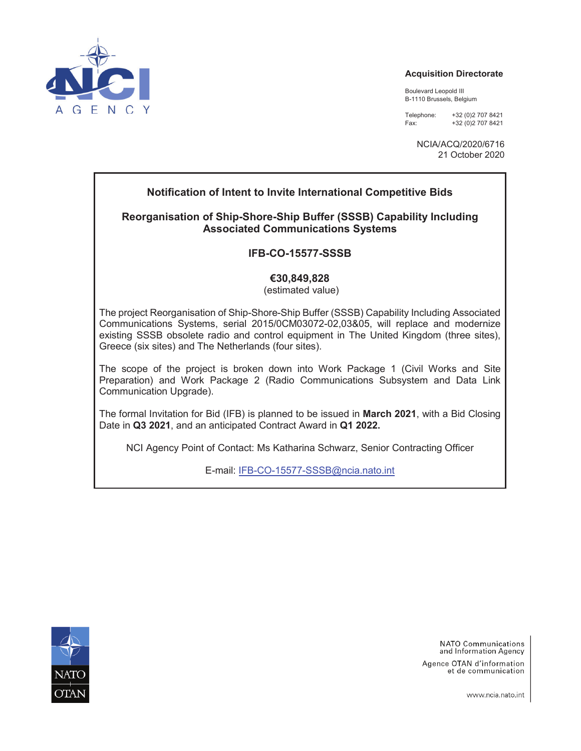

#### **Acquisition Directorate**

Boulevard Leopold III B-1110 Brussels, Belgium

Telephone: +32 (0)2 707 8421 Fax: +32 (0)2 707 8421

> NCIA/ACQ/2020/6716 21 October 2020

### **Notification of Intent to Invite International Competitive Bids**

### **Reorganisation of Ship-Shore-Ship Buffer (SSSB) Capability Including Associated Communications Systems**

### **IFB-CO-15577-SSSB**

### **€30,849,828**

(estimated value)

The project Reorganisation of Ship-Shore-Ship Buffer (SSSB) Capability Including Associated Communications Systems, serial 2015/0CM03072-02,03&05, will replace and modernize existing SSSB obsolete radio and control equipment in The United Kingdom (three sites), Greece (six sites) and The Netherlands (four sites).

The scope of the project is broken down into Work Package 1 (Civil Works and Site Preparation) and Work Package 2 (Radio Communications Subsystem and Data Link Communication Upgrade).

The formal Invitation for Bid (IFB) is planned to be issued in **March 2021**, with a Bid Closing Date in **Q3 2021**, and an anticipated Contract Award in **Q1 2022.** 

NCI Agency Point of Contact: Ms Katharina Schwarz, Senior Contracting Officer

E-mail: IFB-CO-15577-SSSB@ncia.nato.int



**NATO Communications** and Information Agency Agence OTAN d'information et de communication

www.ncia.nato.int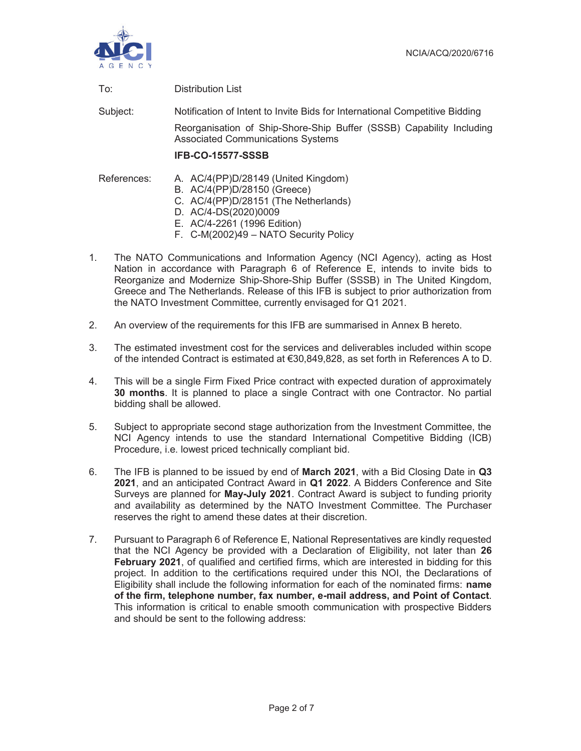

| <b>Distribution List</b><br>To: |
|---------------------------------|
|                                 |

Subject: Notification of Intent to Invite Bids for International Competitive Bidding

Reorganisation of Ship-Shore-Ship Buffer (SSSB) Capability Including Associated Communications Systems

### **IFB-CO-15577-SSSB**

References: A. AC/4(PP)D/28149 (United Kingdom)

- B. AC/4(PP)D/28150 (Greece)
- C. AC/4(PP)D/28151 (The Netherlands)
- D. AC/4-DS(2020)0009
- E. AC/4-2261 (1996 Edition)
- F. C-M(2002)49 NATO Security Policy
- 1. The NATO Communications and Information Agency (NCI Agency), acting as Host Nation in accordance with Paragraph 6 of Reference E, intends to invite bids to Reorganize and Modernize Ship-Shore-Ship Buffer (SSSB) in The United Kingdom, Greece and The Netherlands. Release of this IFB is subject to prior authorization from the NATO Investment Committee, currently envisaged for Q1 2021.
- 2. An overview of the requirements for this IFB are summarised in Annex B hereto.
- 3. The estimated investment cost for the services and deliverables included within scope of the intended Contract is estimated at €30,849,828, as set forth in References A to D.
- 4. This will be a single Firm Fixed Price contract with expected duration of approximately **30 months**. It is planned to place a single Contract with one Contractor. No partial bidding shall be allowed.
- 5. Subject to appropriate second stage authorization from the Investment Committee, the NCI Agency intends to use the standard International Competitive Bidding (ICB) Procedure, i.e. lowest priced technically compliant bid.
- 6. The IFB is planned to be issued by end of **March 2021**, with a Bid Closing Date in **Q3 2021**, and an anticipated Contract Award in **Q1 2022**. A Bidders Conference and Site Surveys are planned for **May-July 2021**. Contract Award is subject to funding priority and availability as determined by the NATO Investment Committee. The Purchaser reserves the right to amend these dates at their discretion.
- 7. Pursuant to Paragraph 6 of Reference E, National Representatives are kindly requested that the NCI Agency be provided with a Declaration of Eligibility, not later than **26 February 2021**, of qualified and certified firms, which are interested in bidding for this project. In addition to the certifications required under this NOI, the Declarations of Eligibility shall include the following information for each of the nominated firms: **name of the firm, telephone number, fax number, e-mail address, and Point of Contact**. This information is critical to enable smooth communication with prospective Bidders and should be sent to the following address: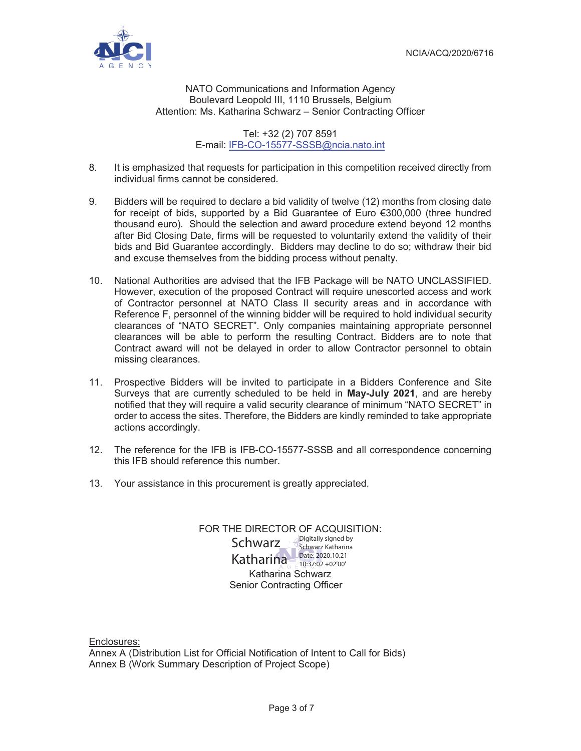

#### NATO Communications and Information Agency Boulevard Leopold III, 1110 Brussels, Belgium Attention: Ms. Katharina Schwarz – Senior Contracting Officer

Tel: +32 (2) 707 8591 E-mail: IFB-CO-15577-SSSB@ncia.nato.int

- 8. It is emphasized that requests for participation in this competition received directly from individual firms cannot be considered.
- 9. Bidders will be required to declare a bid validity of twelve (12) months from closing date for receipt of bids, supported by a Bid Guarantee of Euro €300,000 (three hundred thousand euro). Should the selection and award procedure extend beyond 12 months after Bid Closing Date, firms will be requested to voluntarily extend the validity of their bids and Bid Guarantee accordingly. Bidders may decline to do so; withdraw their bid and excuse themselves from the bidding process without penalty.
- 10. National Authorities are advised that the IFB Package will be NATO UNCLASSIFIED. However, execution of the proposed Contract will require unescorted access and work of Contractor personnel at NATO Class II security areas and in accordance with Reference F, personnel of the winning bidder will be required to hold individual security clearances of "NATO SECRET". Only companies maintaining appropriate personnel clearances will be able to perform the resulting Contract. Bidders are to note that Contract award will not be delayed in order to allow Contractor personnel to obtain missing clearances.
- 11. Prospective Bidders will be invited to participate in a Bidders Conference and Site Surveys that are currently scheduled to be held in **May-July 2021**, and are hereby notified that they will require a valid security clearance of minimum "NATO SECRET" in order to access the sites. Therefore, the Bidders are kindly reminded to take appropriate actions accordingly.
- 12. The reference for the IFB is IFB-CO-15577-SSSB and all correspondence concerning this IFB should reference this number.
- 13. Your assistance in this procurement is greatly appreciated.

### FOR THE DIRECTOR OF ACQUISITION:

Katharina Schwarz Senior Contracting Officer **Schwarz** Schwarz Katharina Katharina Schwarz Katharina Date: 2020.10.21 10:37:02 +02'00'

Enclosures:

Annex A (Distribution List for Official Notification of Intent to Call for Bids) Annex B (Work Summary Description of Project Scope)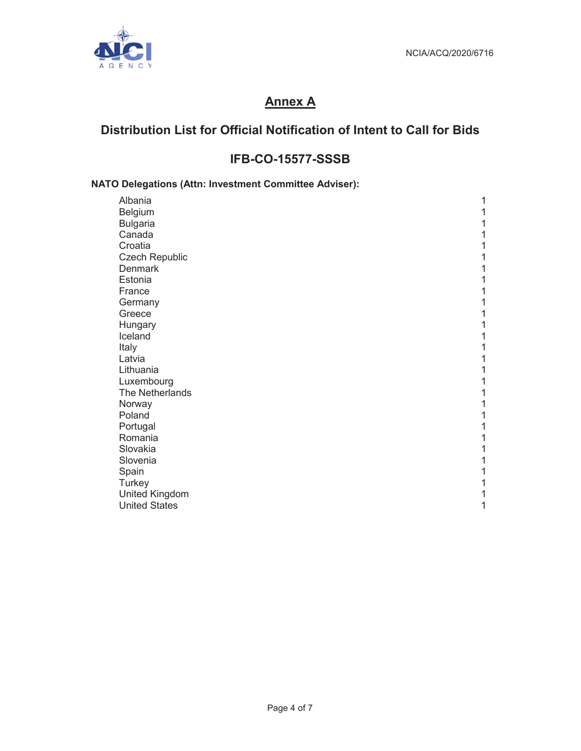

# **Annex A**

## **Distribution List for Official Notification of Intent to Call for Bids**

## **IFB-CO-15577-SSSB**

### **NATO Delegations (Attn: Investment Committee Adviser):**

| Albania               | 1 |
|-----------------------|---|
| Belgium               | 1 |
| <b>Bulgaria</b>       | 1 |
| Canada                | 1 |
| Croatia               | 1 |
| Czech Republic        | 1 |
| <b>Denmark</b>        | 1 |
| Estonia               | 1 |
| France                | 1 |
| Germany               | 1 |
| Greece                | 1 |
| Hungary               | 1 |
| Iceland               | 1 |
| Italy                 | 1 |
| Latvia                | 1 |
| Lithuania             | 1 |
| Luxembourg            | 1 |
| The Netherlands       | 1 |
| Norway                | 1 |
| Poland                | 1 |
| Portugal              | 1 |
| Romania               | 1 |
| Slovakia              | 1 |
| Slovenia              | 1 |
| Spain                 | 1 |
| Turkey                | 1 |
| <b>United Kingdom</b> | 1 |
| <b>United States</b>  | 1 |
|                       |   |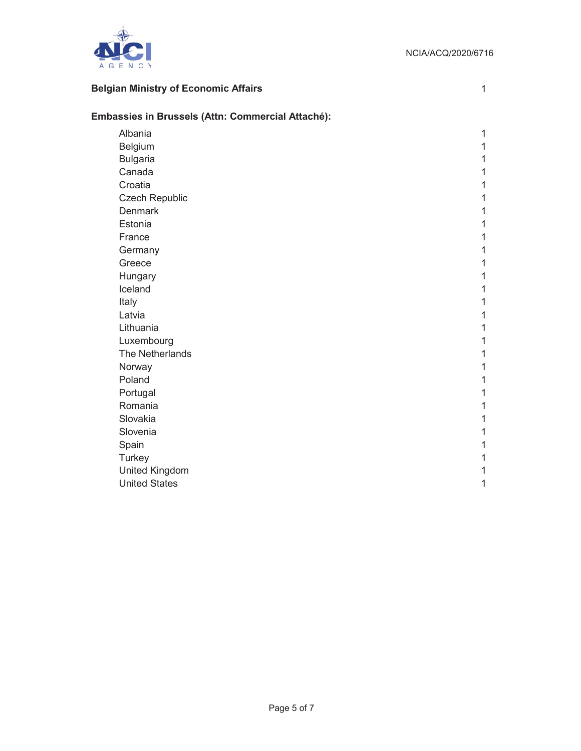

## **Belgian Ministry of Economic Affairs** 1 1

| Embassies in Brussels (Attn: Commercial Attaché): |   |  |  |
|---------------------------------------------------|---|--|--|
| Albania                                           | 1 |  |  |
| Belgium                                           | 1 |  |  |
| <b>Bulgaria</b>                                   | 1 |  |  |
| Canada                                            | 1 |  |  |
| Croatia                                           | 1 |  |  |
| Czech Republic                                    | 1 |  |  |
| Denmark                                           | 1 |  |  |
| Estonia                                           | 1 |  |  |
| France                                            | 1 |  |  |
| Germany                                           | 1 |  |  |
| Greece                                            | 1 |  |  |
| Hungary                                           | 1 |  |  |
| Iceland                                           | 1 |  |  |
| Italy                                             | 1 |  |  |
| Latvia                                            | 1 |  |  |
| Lithuania                                         | 1 |  |  |
| Luxembourg                                        | 1 |  |  |
| The Netherlands                                   | 1 |  |  |
| Norway                                            | 1 |  |  |
| Poland                                            | 1 |  |  |
| Portugal                                          | 1 |  |  |
| Romania                                           | 1 |  |  |
| Slovakia                                          | 1 |  |  |
| Slovenia                                          | 1 |  |  |
| Spain                                             | 1 |  |  |
| Turkey                                            | 1 |  |  |
| United Kingdom                                    | 1 |  |  |
| <b>United States</b>                              | 1 |  |  |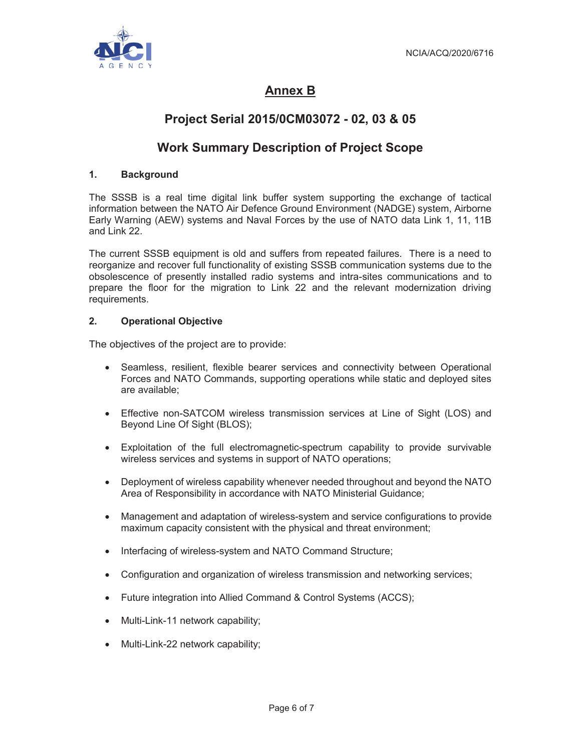

# **Annex B**

## **Project Serial 2015/0CM03072 - 02, 03 & 05**

## **Work Summary Description of Project Scope**

### **1. Background**

The SSSB is a real time digital link buffer system supporting the exchange of tactical information between the NATO Air Defence Ground Environment (NADGE) system, Airborne Early Warning (AEW) systems and Naval Forces by the use of NATO data Link 1, 11, 11B and Link 22.

The current SSSB equipment is old and suffers from repeated failures. There is a need to reorganize and recover full functionality of existing SSSB communication systems due to the obsolescence of presently installed radio systems and intra-sites communications and to prepare the floor for the migration to Link 22 and the relevant modernization driving requirements.

#### **2. Operational Objective**

The objectives of the project are to provide:

- Seamless, resilient, flexible bearer services and connectivity between Operational Forces and NATO Commands, supporting operations while static and deployed sites are available;
- Effective non-SATCOM wireless transmission services at Line of Sight (LOS) and Beyond Line Of Sight (BLOS);
- Exploitation of the full electromagnetic-spectrum capability to provide survivable wireless services and systems in support of NATO operations;
- Deployment of wireless capability whenever needed throughout and beyond the NATO Area of Responsibility in accordance with NATO Ministerial Guidance;
- Management and adaptation of wireless-system and service configurations to provide maximum capacity consistent with the physical and threat environment;
- Interfacing of wireless-system and NATO Command Structure;
- Configuration and organization of wireless transmission and networking services;
- Future integration into Allied Command & Control Systems (ACCS);
- Multi-Link-11 network capability;
- Multi-Link-22 network capability;